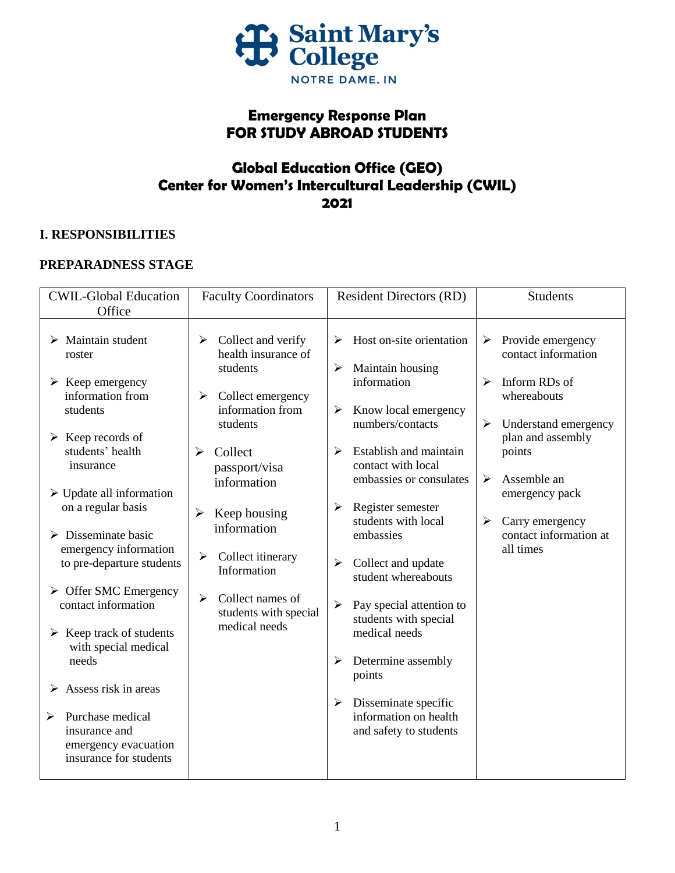

# **Emergency Response Plan FOR STUDY ABROAD STUDENTS**

# **Global Education Office (GEO) Center for Women's Intercultural Leadership (CWIL) 2021**

# **I. RESPONSIBILITIES**

# **PREPARADNESS STAGE**

| <b>CWIL-Global Education</b><br>Office                                                                                                                                                                                                                                                                                                                                                                                                                                                                                                                                                                                           | <b>Faculty Coordinators</b>                                                                                                                                                                                                                                                                                                                                                                          | <b>Resident Directors (RD)</b>                                                                                                                                                                                                                                                                                                                                                                                                                                                                                         | <b>Students</b>                                                                                                                                                                                                                                                         |
|----------------------------------------------------------------------------------------------------------------------------------------------------------------------------------------------------------------------------------------------------------------------------------------------------------------------------------------------------------------------------------------------------------------------------------------------------------------------------------------------------------------------------------------------------------------------------------------------------------------------------------|------------------------------------------------------------------------------------------------------------------------------------------------------------------------------------------------------------------------------------------------------------------------------------------------------------------------------------------------------------------------------------------------------|------------------------------------------------------------------------------------------------------------------------------------------------------------------------------------------------------------------------------------------------------------------------------------------------------------------------------------------------------------------------------------------------------------------------------------------------------------------------------------------------------------------------|-------------------------------------------------------------------------------------------------------------------------------------------------------------------------------------------------------------------------------------------------------------------------|
| $\triangleright$ Maintain student<br>roster<br>$\triangleright$ Keep emergency<br>information from<br>students<br>$\triangleright$ Keep records of<br>students' health<br>insurance<br>$\triangleright$ Update all information<br>on a regular basis<br>$\triangleright$ Disseminate basic<br>emergency information<br>to pre-departure students<br>$\triangleright$ Offer SMC Emergency<br>contact information<br>$\triangleright$ Keep track of students<br>with special medical<br>needs<br>$\triangleright$ Assess risk in areas<br>Purchase medical<br>➤<br>insurance and<br>emergency evacuation<br>insurance for students | Collect and verify<br>➤<br>health insurance of<br>students<br>$\blacktriangleright$<br>Collect emergency<br>information from<br>students<br>Collect<br>➤<br>passport/visa<br>information<br>$\blacktriangleright$<br>Keep housing<br>information<br>$\blacktriangleright$<br>Collect itinerary<br>Information<br>$\blacktriangleright$<br>Collect names of<br>students with special<br>medical needs | Host on-site orientation<br>≻<br>Maintain housing<br>➤<br>information<br>Know local emergency<br>➤<br>numbers/contacts<br>Establish and maintain<br>➤<br>contact with local<br>embassies or consulates<br>Register semester<br>≻<br>students with local<br>embassies<br>Collect and update<br>➤<br>student whereabouts<br>Pay special attention to<br>➤<br>students with special<br>medical needs<br>Determine assembly<br>➤<br>points<br>Disseminate specific<br>➤<br>information on health<br>and safety to students | Provide emergency<br>➤<br>contact information<br>Inform RDs of<br>$\blacktriangleright$<br>whereabouts<br>➤<br>Understand emergency<br>plan and assembly<br>points<br>Assemble an<br>➤<br>emergency pack<br>Carry emergency<br>➤<br>contact information at<br>all times |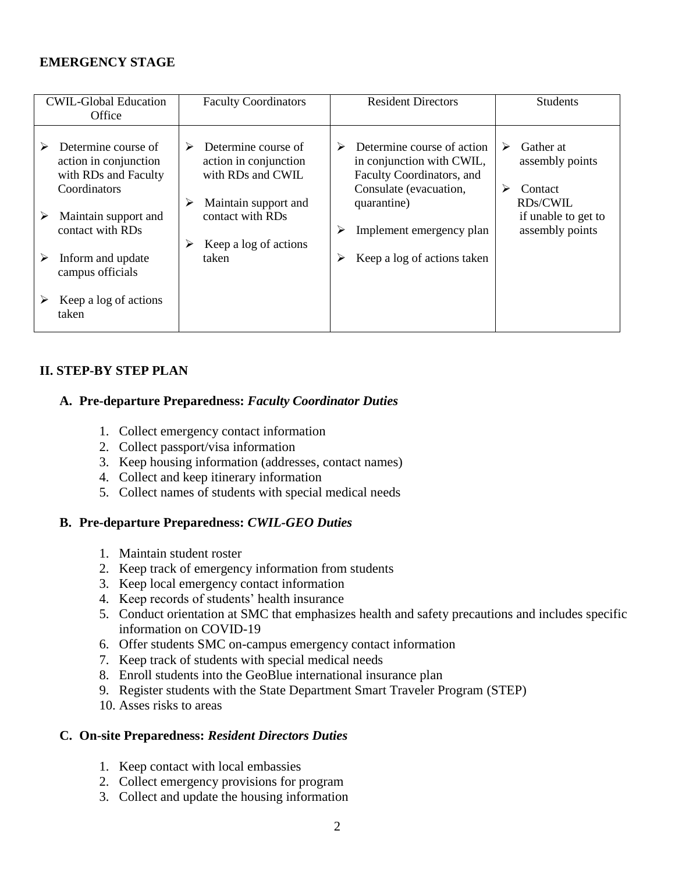# **EMERGENCY STAGE**

|   | <b>CWIL-Global Education</b><br>Office                                               |   | <b>Faculty Coordinators</b>                                                               |   | <b>Resident Directors</b>                                                                                                     |        | <b>Students</b>                                     |
|---|--------------------------------------------------------------------------------------|---|-------------------------------------------------------------------------------------------|---|-------------------------------------------------------------------------------------------------------------------------------|--------|-----------------------------------------------------|
|   | Determine course of<br>action in conjunction<br>with RDs and Faculty<br>Coordinators | ➤ | Determine course of<br>action in conjunction<br>with RDs and CWIL<br>Maintain support and | ➤ | Determine course of action<br>in conjunction with CWIL,<br>Faculty Coordinators, and<br>Consulate (evacuation,<br>quarantine) | ➤<br>≻ | Gather at<br>assembly points<br>Contact<br>RDs/CWIL |
| ➤ | Maintain support and<br>contact with RDs                                             |   | contact with RDs                                                                          |   | Implement emergency plan                                                                                                      |        | if unable to get to<br>assembly points              |
|   | Inform and update                                                                    |   | Keep a log of actions<br>taken                                                            | ➤ | Keep a log of actions taken                                                                                                   |        |                                                     |
|   | campus officials                                                                     |   |                                                                                           |   |                                                                                                                               |        |                                                     |
|   | Keep a log of actions<br>taken                                                       |   |                                                                                           |   |                                                                                                                               |        |                                                     |

### **II. STEP-BY STEP PLAN**

# **A. Pre-departure Preparedness:** *Faculty Coordinator Duties*

- 1. Collect emergency contact information
- 2. Collect passport/visa information
- 3. Keep housing information (addresses, contact names)
- 4. Collect and keep itinerary information
- 5. Collect names of students with special medical needs

### **B. Pre-departure Preparedness:** *CWIL-GEO Duties*

- 1. Maintain student roster
- 2. Keep track of emergency information from students
- 3. Keep local emergency contact information
- 4. Keep records of students' health insurance
- 5. Conduct orientation at SMC that emphasizes health and safety precautions and includes specific information on COVID-19
- 6. Offer students SMC on-campus emergency contact information
- 7. Keep track of students with special medical needs
- 8. Enroll students into the GeoBlue international insurance plan
- 9. Register students with the State Department Smart Traveler Program (STEP)
- 10. Asses risks to areas

#### **C. On-site Preparedness:** *Resident Directors Duties*

- 1. Keep contact with local embassies
- 2. Collect emergency provisions for program
- 3. Collect and update the housing information